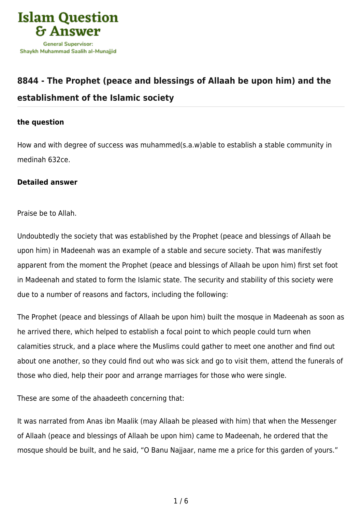

## **[8844 - The Prophet \(peace and blessings of Allaah be upon him\) and the](https://islamqa.info/en/answers/8844/the-prophet-peace-and-blessings-of-allaah-be-upon-him-and-the-establishment-of-the-islamic-society) [establishment of the Islamic society](https://islamqa.info/en/answers/8844/the-prophet-peace-and-blessings-of-allaah-be-upon-him-and-the-establishment-of-the-islamic-society)**

## **the question**

How and with degree of success was muhammed(s.a.w)able to establish a stable community in medinah 632ce.

## **Detailed answer**

Praise be to Allah.

Undoubtedly the society that was established by the Prophet (peace and blessings of Allaah be upon him) in Madeenah was an example of a stable and secure society. That was manifestly apparent from the moment the Prophet (peace and blessings of Allaah be upon him) first set foot in Madeenah and stated to form the Islamic state. The security and stability of this society were due to a number of reasons and factors, including the following:

The Prophet (peace and blessings of Allaah be upon him) built the mosque in Madeenah as soon as he arrived there, which helped to establish a focal point to which people could turn when calamities struck, and a place where the Muslims could gather to meet one another and find out about one another, so they could find out who was sick and go to visit them, attend the funerals of those who died, help their poor and arrange marriages for those who were single.

These are some of the ahaadeeth concerning that:

It was narrated from Anas ibn Maalik (may Allaah be pleased with him) that when the Messenger of Allaah (peace and blessings of Allaah be upon him) came to Madeenah, he ordered that the mosque should be built, and he said, "O Banu Najjaar, name me a price for this garden of yours."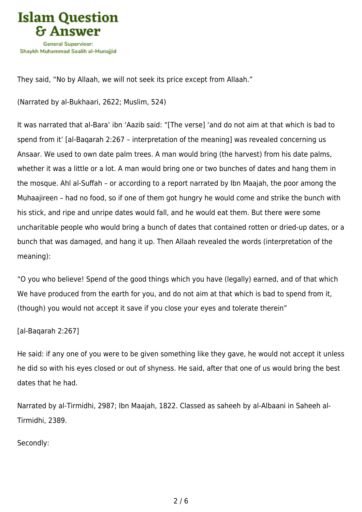

They said, "No by Allaah, we will not seek its price except from Allaah."

(Narrated by al-Bukhaari, 2622; Muslim, 524)

It was narrated that al-Bara' ibn 'Aazib said: "[The verse] 'and do not aim at that which is bad to spend from it' [al-Baqarah 2:267 – interpretation of the meaning] was revealed concerning us Ansaar. We used to own date palm trees. A man would bring (the harvest) from his date palms, whether it was a little or a lot. A man would bring one or two bunches of dates and hang them in the mosque. Ahl al-Suffah – or according to a report narrated by Ibn Maajah, the poor among the Muhaajireen – had no food, so if one of them got hungry he would come and strike the bunch with his stick, and ripe and unripe dates would fall, and he would eat them. But there were some uncharitable people who would bring a bunch of dates that contained rotten or dried-up dates, or a bunch that was damaged, and hang it up. Then Allaah revealed the words (interpretation of the meaning):

"O you who believe! Spend of the good things which you have (legally) earned, and of that which We have produced from the earth for you, and do not aim at that which is bad to spend from it, (though) you would not accept it save if you close your eyes and tolerate therein"

[al-Baqarah 2:267]

He said: if any one of you were to be given something like they gave, he would not accept it unless he did so with his eyes closed or out of shyness. He said, after that one of us would bring the best dates that he had.

Narrated by al-Tirmidhi, 2987; Ibn Maajah, 1822. Classed as saheeh by al-Albaani in Saheeh al-Tirmidhi, 2389.

Secondly: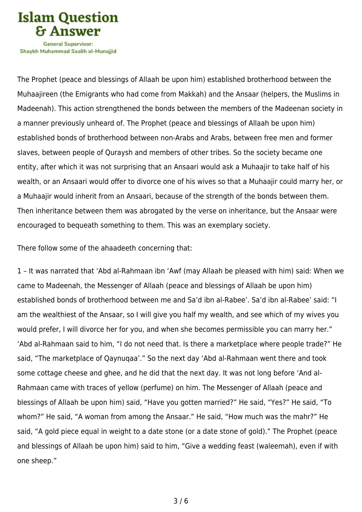

Shavkh Muhammad Saalih al-Munaiiid

The Prophet (peace and blessings of Allaah be upon him) established brotherhood between the Muhaajireen (the Emigrants who had come from Makkah) and the Ansaar (helpers, the Muslims in Madeenah). This action strengthened the bonds between the members of the Madeenan society in a manner previously unheard of. The Prophet (peace and blessings of Allaah be upon him) established bonds of brotherhood between non-Arabs and Arabs, between free men and former slaves, between people of Quraysh and members of other tribes. So the society became one entity, after which it was not surprising that an Ansaari would ask a Muhaajir to take half of his wealth, or an Ansaari would offer to divorce one of his wives so that a Muhaajir could marry her, or a Muhaajir would inherit from an Ansaari, because of the strength of the bonds between them. Then inheritance between them was abrogated by the verse on inheritance, but the Ansaar were encouraged to bequeath something to them. This was an exemplary society.

There follow some of the ahaadeeth concerning that:

1 – It was narrated that 'Abd al-Rahmaan ibn 'Awf (may Allaah be pleased with him) said: When we came to Madeenah, the Messenger of Allaah (peace and blessings of Allaah be upon him) established bonds of brotherhood between me and Sa'd ibn al-Rabee'. Sa'd ibn al-Rabee' said: "I am the wealthiest of the Ansaar, so I will give you half my wealth, and see which of my wives you would prefer, I will divorce her for you, and when she becomes permissible you can marry her." 'Abd al-Rahmaan said to him, "I do not need that. Is there a marketplace where people trade?" He said, "The marketplace of Qaynuqaa'." So the next day 'Abd al-Rahmaan went there and took some cottage cheese and ghee, and he did that the next day. It was not long before 'And al-Rahmaan came with traces of yellow (perfume) on him. The Messenger of Allaah (peace and blessings of Allaah be upon him) said, "Have you gotten married?" He said, "Yes?" He said, "To whom?" He said, "A woman from among the Ansaar." He said, "How much was the mahr?" He said, "A gold piece equal in weight to a date stone (or a date stone of gold)." The Prophet (peace and blessings of Allaah be upon him) said to him, "Give a wedding feast (waleemah), even if with one sheep."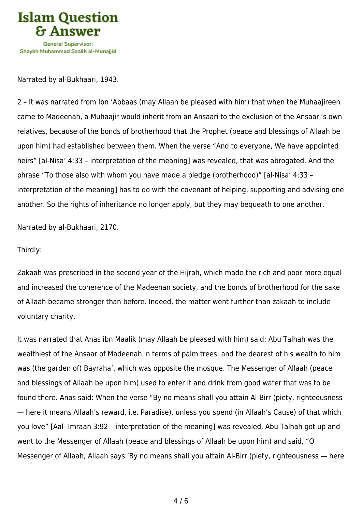

Narrated by al-Bukhaari, 1943.

2 – It was narrated from Ibn 'Abbaas (may Allaah be pleased with him) that when the Muhaajireen came to Madeenah, a Muhaajir would inherit from an Ansaari to the exclusion of the Ansaari's own relatives, because of the bonds of brotherhood that the Prophet (peace and blessings of Allaah be upon him) had established between them. When the verse "And to everyone, We have appointed heirs" [al-Nisa' 4:33 – interpretation of the meaning] was revealed, that was abrogated. And the phrase "To those also with whom you have made a pledge (brotherhood)" [al-Nisa' 4:33 – interpretation of the meaning] has to do with the covenant of helping, supporting and advising one another. So the rights of inheritance no longer apply, but they may bequeath to one another.

Narrated by al-Bukhaari, 2170.

## Thirdly:

Zakaah was prescribed in the second year of the Hijrah, which made the rich and poor more equal and increased the coherence of the Madeenan society, and the bonds of brotherhood for the sake of Allaah became stronger than before. Indeed, the matter went further than zakaah to include voluntary charity.

It was narrated that Anas ibn Maalik (may Allaah be pleased with him) said: Abu Talhah was the wealthiest of the Ansaar of Madeenah in terms of palm trees, and the dearest of his wealth to him was (the garden of) Bayraha', which was opposite the mosque. The Messenger of Allaah (peace and blessings of Allaah be upon him) used to enter it and drink from good water that was to be found there. Anas said: When the verse "By no means shall you attain Al-Birr (piety, righteousness — here it means Allaah's reward, i.e. Paradise), unless you spend (in Allaah's Cause) of that which you love" [Aal- Imraan 3:92 – interpretation of the meaning] was revealed, Abu Talhah got up and went to the Messenger of Allaah (peace and blessings of Allaah be upon him) and said, "O Messenger of Allaah, Allaah says 'By no means shall you attain Al-Birr (piety, righteousness — here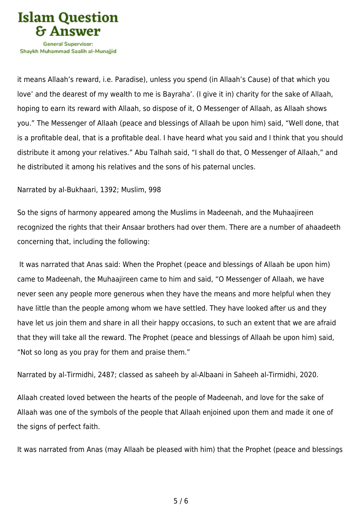

Shavkh Muhammad Saalih al-Munaiiid

it means Allaah's reward, i.e. Paradise), unless you spend (in Allaah's Cause) of that which you love' and the dearest of my wealth to me is Bayraha'. (I give it in) charity for the sake of Allaah, hoping to earn its reward with Allaah, so dispose of it, O Messenger of Allaah, as Allaah shows you." The Messenger of Allaah (peace and blessings of Allaah be upon him) said, "Well done, that is a profitable deal, that is a profitable deal. I have heard what you said and I think that you should distribute it among your relatives." Abu Talhah said, "I shall do that, O Messenger of Allaah," and he distributed it among his relatives and the sons of his paternal uncles.

Narrated by al-Bukhaari, 1392; Muslim, 998

So the signs of harmony appeared among the Muslims in Madeenah, and the Muhaajireen recognized the rights that their Ansaar brothers had over them. There are a number of ahaadeeth concerning that, including the following:

 It was narrated that Anas said: When the Prophet (peace and blessings of Allaah be upon him) came to Madeenah, the Muhaajireen came to him and said, "O Messenger of Allaah, we have never seen any people more generous when they have the means and more helpful when they have little than the people among whom we have settled. They have looked after us and they have let us join them and share in all their happy occasions, to such an extent that we are afraid that they will take all the reward. The Prophet (peace and blessings of Allaah be upon him) said, "Not so long as you pray for them and praise them."

Narrated by al-Tirmidhi, 2487; classed as saheeh by al-Albaani in Saheeh al-Tirmidhi, 2020.

Allaah created loved between the hearts of the people of Madeenah, and love for the sake of Allaah was one of the symbols of the people that Allaah enjoined upon them and made it one of the signs of perfect faith.

It was narrated from Anas (may Allaah be pleased with him) that the Prophet (peace and blessings